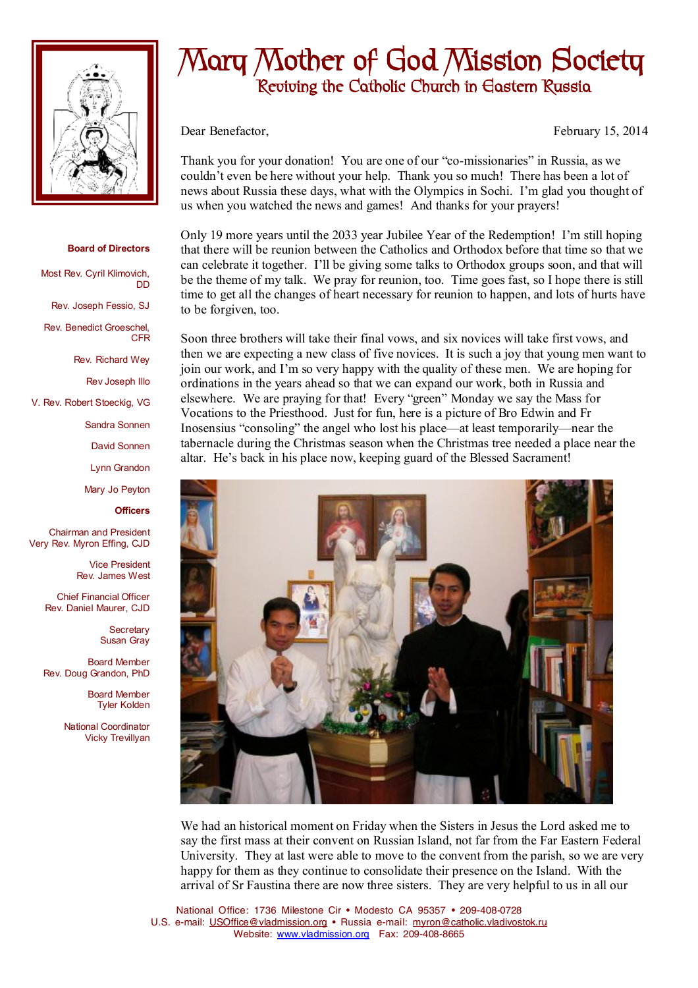

## **Board of Directors**

DD

Most Rev. Cyril Klimovich,

Rev. Joseph Fessio, SJ

Rev. Benedict Groeschel, CFR

Rev. Richard Wey

Rev Joseph Illo

V. Rev. Robert Stoeckig, VG

Sandra Sonnen

David Sonnen

Lynn Grandon

Mary Jo Peyton

**Officers**

Chairman and President Very Rev. Myron Effing, CJD

> Vice President Rev. James West

Chief Financial Officer Rev. Daniel Maurer, CJD

> **Secretary** Susan Gray

Board Member Rev. Doug Grandon, PhD

> Board Member Tyler Kolden

National Coordinator Vicky Trevillyan

## **Mary Mother of God Mission Society Reviving the Catholic Church in Eastern Russia**

Dear Benefactor, February 15, 2014

Thank you for your donation! You are one of our "co-missionaries" in Russia, as we couldn't even be here without your help. Thank you so much! There has been a lot of news about Russia these days, what with the Olympics in Sochi. I'm glad you thought of us when you watched the news and games! And thanks for your prayers!

Only 19 more years until the 2033 year Jubilee Year of the Redemption! I'm still hoping that there will be reunion between the Catholics and Orthodox before that time so that we can celebrate it together. I'll be giving some talks to Orthodox groups soon, and that will be the theme of my talk. We pray for reunion, too. Time goes fast, so I hope there is still time to get all the changes of heart necessary for reunion to happen, and lots of hurts have to be forgiven, too.

Soon three brothers will take their final vows, and six novices will take first vows, and then we are expecting a new class of five novices. It is such a joy that young men want to join our work, and I'm so very happy with the quality of these men. We are hoping for ordinations in the years ahead so that we can expand our work, both in Russia and elsewhere. We are praying for that! Every "green" Monday we say the Mass for Vocations to the Priesthood. Just for fun, here is a picture of Bro Edwin and Fr Inosensius "consoling" the angel who lost his place—at least temporarily—near the tabernacle during the Christmas season when the Christmas tree needed a place near the altar. He's back in his place now, keeping guard of the Blessed Sacrament!



We had an historical moment on Friday when the Sisters in Jesus the Lord asked me to say the first mass at their convent on Russian Island, not far from the Far Eastern Federal University. They at last were able to move to the convent from the parish, so we are very happy for them as they continue to consolidate their presence on the Island. With the arrival of Sr Faustina there are now three sisters. They are very helpful to us in all our

National Office: 1736 Milestone Cir • Modesto CA 95357 • 209-408-0728 U.S. e-mail: [USOffice@vladmission.org](mailto:USOffice@vladmission.org) • Russia e-mail: [myron@catholic.vladivostok.ru](mailto:myron@catholic.vladivostok.ru) Website: [www.vladmission.org](http://www.vladmission.org) Fax: 209-408-8665